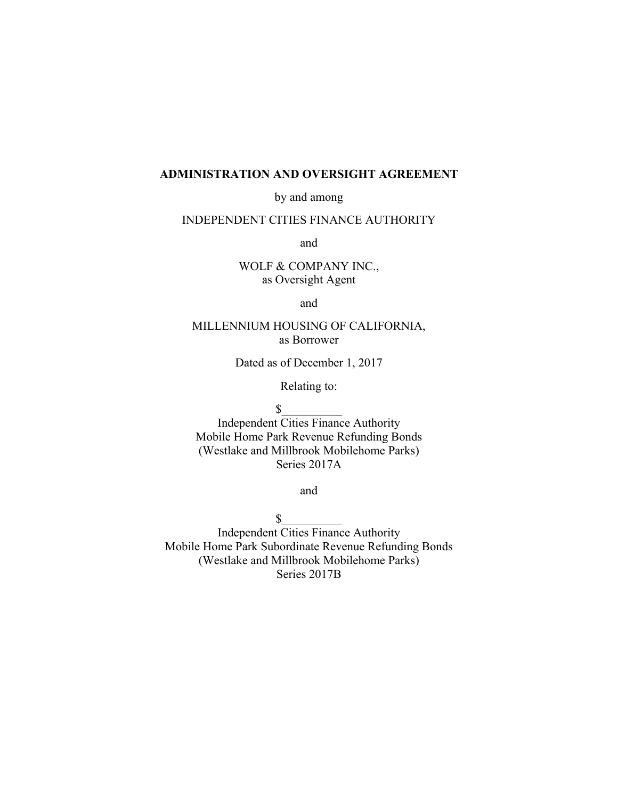#### **ADMINISTRATION AND OVERSIGHT AGREEMENT**

by and among

### INDEPENDENT CITIES FINANCE AUTHORITY

and

WOLF & COMPANY INC., as Oversight Agent

and

# MILLENNIUM HOUSING OF CALIFORNIA, as Borrower

Dated as of December 1, 2017

Relating to:

 $\mathsf S$ 

Independent Cities Finance Authority Mobile Home Park Revenue Refunding Bonds (Westlake and Millbrook Mobilehome Parks) Series 2017A

and

 $\sim$ Independent Cities Finance Authority Mobile Home Park Subordinate Revenue Refunding Bonds (Westlake and Millbrook Mobilehome Parks) Series 2017B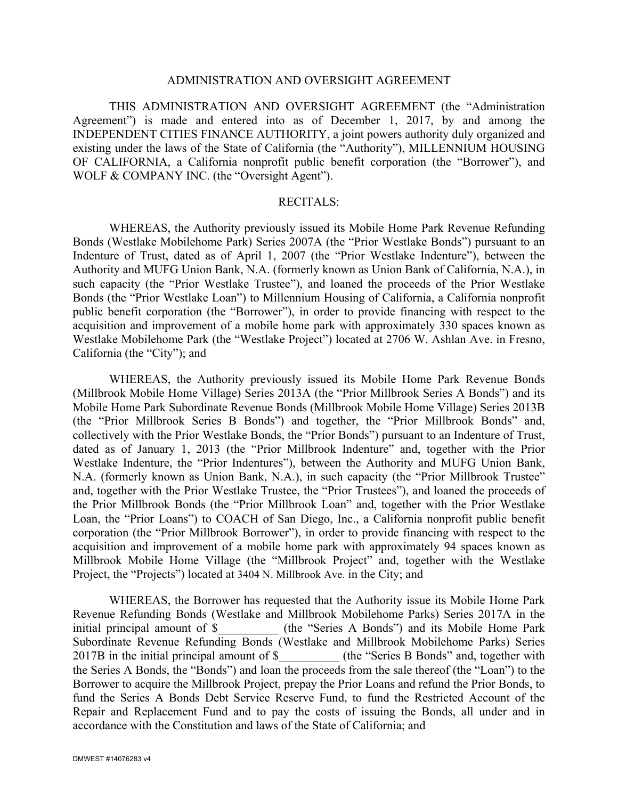#### ADMINISTRATION AND OVERSIGHT AGREEMENT

THIS ADMINISTRATION AND OVERSIGHT AGREEMENT (the "Administration Agreement") is made and entered into as of December 1, 2017, by and among the INDEPENDENT CITIES FINANCE AUTHORITY, a joint powers authority duly organized and existing under the laws of the State of California (the "Authority"), MILLENNIUM HOUSING OF CALIFORNIA, a California nonprofit public benefit corporation (the "Borrower"), and WOLF & COMPANY INC. (the "Oversight Agent").

#### RECITALS:

WHEREAS, the Authority previously issued its Mobile Home Park Revenue Refunding Bonds (Westlake Mobilehome Park) Series 2007A (the "Prior Westlake Bonds") pursuant to an Indenture of Trust, dated as of April 1, 2007 (the "Prior Westlake Indenture"), between the Authority and MUFG Union Bank, N.A. (formerly known as Union Bank of California, N.A.), in such capacity (the "Prior Westlake Trustee"), and loaned the proceeds of the Prior Westlake Bonds (the "Prior Westlake Loan") to Millennium Housing of California, a California nonprofit public benefit corporation (the "Borrower"), in order to provide financing with respect to the acquisition and improvement of a mobile home park with approximately 330 spaces known as Westlake Mobilehome Park (the "Westlake Project") located at 2706 W. Ashlan Ave. in Fresno, California (the "City"); and

WHEREAS, the Authority previously issued its Mobile Home Park Revenue Bonds (Millbrook Mobile Home Village) Series 2013A (the "Prior Millbrook Series A Bonds") and its Mobile Home Park Subordinate Revenue Bonds (Millbrook Mobile Home Village) Series 2013B (the "Prior Millbrook Series B Bonds") and together, the "Prior Millbrook Bonds" and, collectively with the Prior Westlake Bonds, the "Prior Bonds") pursuant to an Indenture of Trust, dated as of January 1, 2013 (the "Prior Millbrook Indenture" and, together with the Prior Westlake Indenture, the "Prior Indentures"), between the Authority and MUFG Union Bank, N.A. (formerly known as Union Bank, N.A.), in such capacity (the "Prior Millbrook Trustee" and, together with the Prior Westlake Trustee, the "Prior Trustees"), and loaned the proceeds of the Prior Millbrook Bonds (the "Prior Millbrook Loan" and, together with the Prior Westlake Loan, the "Prior Loans") to COACH of San Diego, Inc., a California nonprofit public benefit corporation (the "Prior Millbrook Borrower"), in order to provide financing with respect to the acquisition and improvement of a mobile home park with approximately 94 spaces known as Millbrook Mobile Home Village (the "Millbrook Project" and, together with the Westlake Project, the "Projects") located at 3404 N. Millbrook Ave. in the City; and

WHEREAS, the Borrower has requested that the Authority issue its Mobile Home Park Revenue Refunding Bonds (Westlake and Millbrook Mobilehome Parks) Series 2017A in the initial principal amount of \$ (the "Series A Bonds") and its Mobile Home Park (the "Series A Bonds") and its Mobile Home Park Subordinate Revenue Refunding Bonds (Westlake and Millbrook Mobilehome Parks) Series 2017B in the initial principal amount of \$  $($  (the "Series B Bonds" and, together with the Series A Bonds, the "Bonds") and loan the proceeds from the sale thereof (the "Loan") to the Borrower to acquire the Millbrook Project, prepay the Prior Loans and refund the Prior Bonds, to fund the Series A Bonds Debt Service Reserve Fund, to fund the Restricted Account of the Repair and Replacement Fund and to pay the costs of issuing the Bonds, all under and in accordance with the Constitution and laws of the State of California; and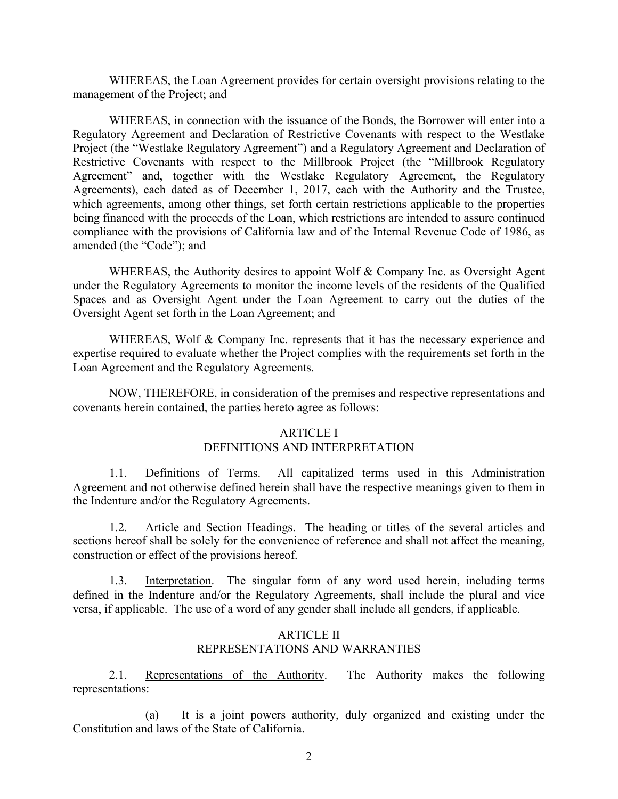WHEREAS, the Loan Agreement provides for certain oversight provisions relating to the management of the Project; and

WHEREAS, in connection with the issuance of the Bonds, the Borrower will enter into a Regulatory Agreement and Declaration of Restrictive Covenants with respect to the Westlake Project (the "Westlake Regulatory Agreement") and a Regulatory Agreement and Declaration of Restrictive Covenants with respect to the Millbrook Project (the "Millbrook Regulatory Agreement" and, together with the Westlake Regulatory Agreement, the Regulatory Agreements), each dated as of December 1, 2017, each with the Authority and the Trustee, which agreements, among other things, set forth certain restrictions applicable to the properties being financed with the proceeds of the Loan, which restrictions are intended to assure continued compliance with the provisions of California law and of the Internal Revenue Code of 1986, as amended (the "Code"); and

WHEREAS, the Authority desires to appoint Wolf & Company Inc. as Oversight Agent under the Regulatory Agreements to monitor the income levels of the residents of the Qualified Spaces and as Oversight Agent under the Loan Agreement to carry out the duties of the Oversight Agent set forth in the Loan Agreement; and

WHEREAS, Wolf & Company Inc. represents that it has the necessary experience and expertise required to evaluate whether the Project complies with the requirements set forth in the Loan Agreement and the Regulatory Agreements.

NOW, THEREFORE, in consideration of the premises and respective representations and covenants herein contained, the parties hereto agree as follows:

#### ARTICLE I DEFINITIONS AND INTERPRETATION

1.1. Definitions of Terms. All capitalized terms used in this Administration Agreement and not otherwise defined herein shall have the respective meanings given to them in the Indenture and/or the Regulatory Agreements.

1.2. Article and Section Headings. The heading or titles of the several articles and sections hereof shall be solely for the convenience of reference and shall not affect the meaning, construction or effect of the provisions hereof.

1.3. Interpretation. The singular form of any word used herein, including terms defined in the Indenture and/or the Regulatory Agreements, shall include the plural and vice versa, if applicable. The use of a word of any gender shall include all genders, if applicable.

## **ARTICLE II** REPRESENTATIONS AND WARRANTIES

2.1. Representations of the Authority. The Authority makes the following representations:

(a) It is a joint powers authority, duly organized and existing under the Constitution and laws of the State of California.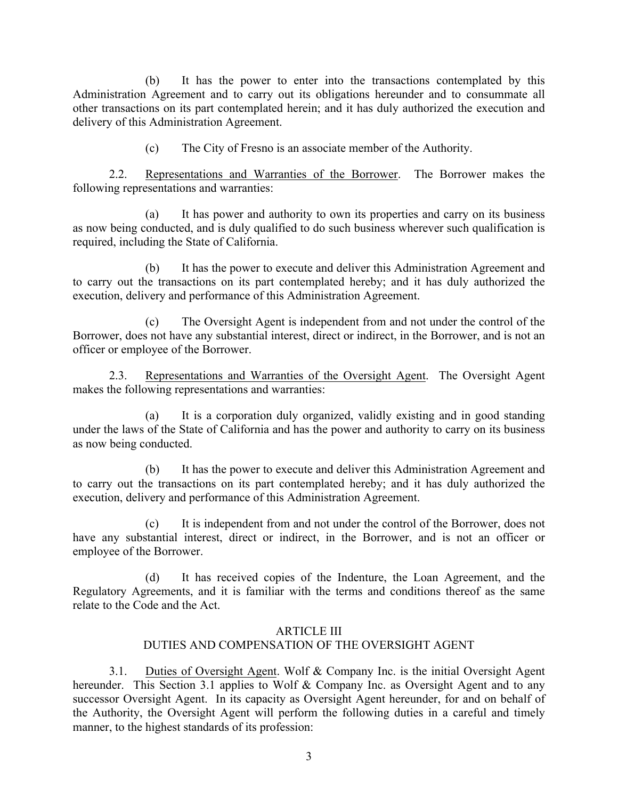(b) It has the power to enter into the transactions contemplated by this Administration Agreement and to carry out its obligations hereunder and to consummate all other transactions on its part contemplated herein; and it has duly authorized the execution and delivery of this Administration Agreement.

(c) The City of Fresno is an associate member of the Authority.

2.2. Representations and Warranties of the Borrower. The Borrower makes the following representations and warranties:

(a) It has power and authority to own its properties and carry on its business as now being conducted, and is duly qualified to do such business wherever such qualification is required, including the State of California.

(b) It has the power to execute and deliver this Administration Agreement and to carry out the transactions on its part contemplated hereby; and it has duly authorized the execution, delivery and performance of this Administration Agreement.

(c) The Oversight Agent is independent from and not under the control of the Borrower, does not have any substantial interest, direct or indirect, in the Borrower, and is not an officer or employee of the Borrower.

2.3. Representations and Warranties of the Oversight Agent. The Oversight Agent makes the following representations and warranties:

(a) It is a corporation duly organized, validly existing and in good standing under the laws of the State of California and has the power and authority to carry on its business as now being conducted.

(b) It has the power to execute and deliver this Administration Agreement and to carry out the transactions on its part contemplated hereby; and it has duly authorized the execution, delivery and performance of this Administration Agreement.

(c) It is independent from and not under the control of the Borrower, does not have any substantial interest, direct or indirect, in the Borrower, and is not an officer or employee of the Borrower.

(d) It has received copies of the Indenture, the Loan Agreement, and the Regulatory Agreements, and it is familiar with the terms and conditions thereof as the same relate to the Code and the Act.

### ARTICLE III

## DUTIES AND COMPENSATION OF THE OVERSIGHT AGENT

3.1. Duties of Oversight Agent. Wolf & Company Inc. is the initial Oversight Agent hereunder. This Section 3.1 applies to Wolf & Company Inc. as Oversight Agent and to any successor Oversight Agent. In its capacity as Oversight Agent hereunder, for and on behalf of the Authority, the Oversight Agent will perform the following duties in a careful and timely manner, to the highest standards of its profession: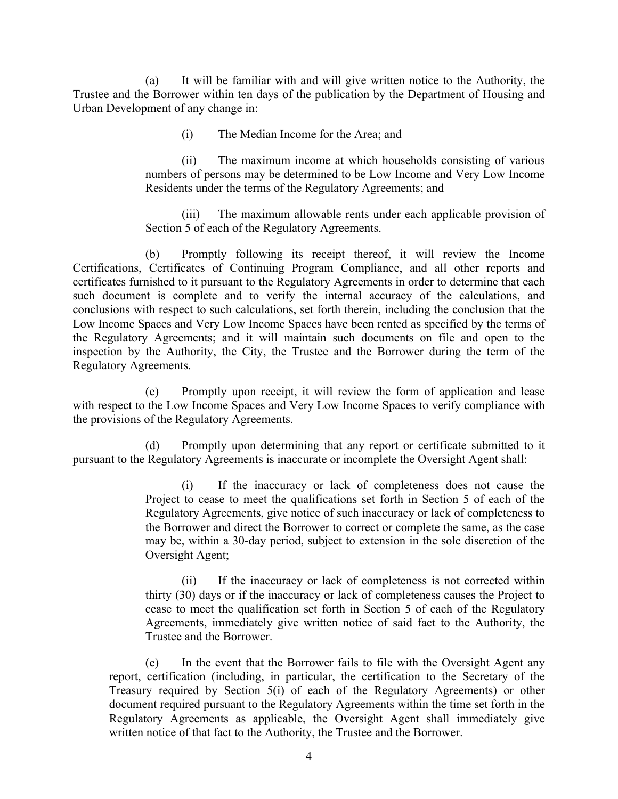(a) It will be familiar with and will give written notice to the Authority, the Trustee and the Borrower within ten days of the publication by the Department of Housing and Urban Development of any change in:

(i) The Median Income for the Area; and

(ii) The maximum income at which households consisting of various numbers of persons may be determined to be Low Income and Very Low Income Residents under the terms of the Regulatory Agreements; and

(iii) The maximum allowable rents under each applicable provision of Section 5 of each of the Regulatory Agreements.

(b) Promptly following its receipt thereof, it will review the Income Certifications, Certificates of Continuing Program Compliance, and all other reports and certificates furnished to it pursuant to the Regulatory Agreements in order to determine that each such document is complete and to verify the internal accuracy of the calculations, and conclusions with respect to such calculations, set forth therein, including the conclusion that the Low Income Spaces and Very Low Income Spaces have been rented as specified by the terms of the Regulatory Agreements; and it will maintain such documents on file and open to the inspection by the Authority, the City, the Trustee and the Borrower during the term of the Regulatory Agreements.

(c) Promptly upon receipt, it will review the form of application and lease with respect to the Low Income Spaces and Very Low Income Spaces to verify compliance with the provisions of the Regulatory Agreements.

(d) Promptly upon determining that any report or certificate submitted to it pursuant to the Regulatory Agreements is inaccurate or incomplete the Oversight Agent shall:

> (i) If the inaccuracy or lack of completeness does not cause the Project to cease to meet the qualifications set forth in Section 5 of each of the Regulatory Agreements, give notice of such inaccuracy or lack of completeness to the Borrower and direct the Borrower to correct or complete the same, as the case may be, within a 30-day period, subject to extension in the sole discretion of the Oversight Agent;

> (ii) If the inaccuracy or lack of completeness is not corrected within thirty (30) days or if the inaccuracy or lack of completeness causes the Project to cease to meet the qualification set forth in Section 5 of each of the Regulatory Agreements, immediately give written notice of said fact to the Authority, the Trustee and the Borrower.

(e) In the event that the Borrower fails to file with the Oversight Agent any report, certification (including, in particular, the certification to the Secretary of the Treasury required by Section 5(i) of each of the Regulatory Agreements) or other document required pursuant to the Regulatory Agreements within the time set forth in the Regulatory Agreements as applicable, the Oversight Agent shall immediately give written notice of that fact to the Authority, the Trustee and the Borrower.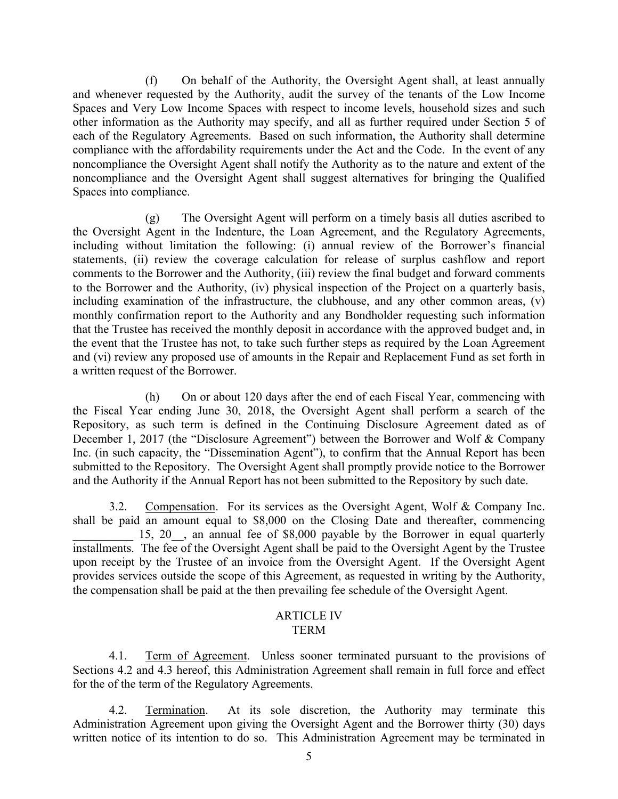(f) On behalf of the Authority, the Oversight Agent shall, at least annually and whenever requested by the Authority, audit the survey of the tenants of the Low Income Spaces and Very Low Income Spaces with respect to income levels, household sizes and such other information as the Authority may specify, and all as further required under Section 5 of each of the Regulatory Agreements. Based on such information, the Authority shall determine compliance with the affordability requirements under the Act and the Code. In the event of any noncompliance the Oversight Agent shall notify the Authority as to the nature and extent of the noncompliance and the Oversight Agent shall suggest alternatives for bringing the Qualified Spaces into compliance.

(g) The Oversight Agent will perform on a timely basis all duties ascribed to the Oversight Agent in the Indenture, the Loan Agreement, and the Regulatory Agreements, including without limitation the following: (i) annual review of the Borrower's financial statements, (ii) review the coverage calculation for release of surplus cashflow and report comments to the Borrower and the Authority, (iii) review the final budget and forward comments to the Borrower and the Authority, (iv) physical inspection of the Project on a quarterly basis, including examination of the infrastructure, the clubhouse, and any other common areas, (v) monthly confirmation report to the Authority and any Bondholder requesting such information that the Trustee has received the monthly deposit in accordance with the approved budget and, in the event that the Trustee has not, to take such further steps as required by the Loan Agreement and (vi) review any proposed use of amounts in the Repair and Replacement Fund as set forth in a written request of the Borrower.

(h) On or about 120 days after the end of each Fiscal Year, commencing with the Fiscal Year ending June 30, 2018, the Oversight Agent shall perform a search of the Repository, as such term is defined in the Continuing Disclosure Agreement dated as of December 1, 2017 (the "Disclosure Agreement") between the Borrower and Wolf & Company Inc. (in such capacity, the "Dissemination Agent"), to confirm that the Annual Report has been submitted to the Repository. The Oversight Agent shall promptly provide notice to the Borrower and the Authority if the Annual Report has not been submitted to the Repository by such date.

3.2. Compensation. For its services as the Oversight Agent, Wolf & Company Inc. shall be paid an amount equal to \$8,000 on the Closing Date and thereafter, commencing 15, 20, an annual fee of \$8,000 payable by the Borrower in equal quarterly installments. The fee of the Oversight Agent shall be paid to the Oversight Agent by the Trustee upon receipt by the Trustee of an invoice from the Oversight Agent. If the Oversight Agent provides services outside the scope of this Agreement, as requested in writing by the Authority, the compensation shall be paid at the then prevailing fee schedule of the Oversight Agent.

## ARTICLE IV TERM

4.1. Term of Agreement. Unless sooner terminated pursuant to the provisions of Sections 4.2 and 4.3 hereof, this Administration Agreement shall remain in full force and effect for the of the term of the Regulatory Agreements.

4.2. Termination. At its sole discretion, the Authority may terminate this Administration Agreement upon giving the Oversight Agent and the Borrower thirty (30) days written notice of its intention to do so. This Administration Agreement may be terminated in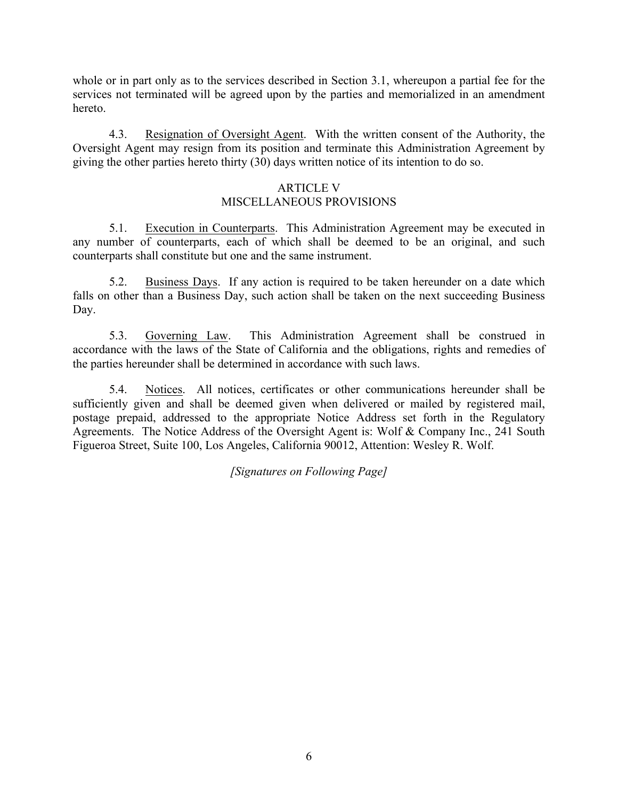whole or in part only as to the services described in Section 3.1, whereupon a partial fee for the services not terminated will be agreed upon by the parties and memorialized in an amendment hereto.

4.3. Resignation of Oversight Agent. With the written consent of the Authority, the Oversight Agent may resign from its position and terminate this Administration Agreement by giving the other parties hereto thirty (30) days written notice of its intention to do so.

## ARTICLE V

## MISCELLANEOUS PROVISIONS

5.1. Execution in Counterparts. This Administration Agreement may be executed in any number of counterparts, each of which shall be deemed to be an original, and such counterparts shall constitute but one and the same instrument.

5.2. Business Days. If any action is required to be taken hereunder on a date which falls on other than a Business Day, such action shall be taken on the next succeeding Business Day.

5.3. Governing Law. This Administration Agreement shall be construed in accordance with the laws of the State of California and the obligations, rights and remedies of the parties hereunder shall be determined in accordance with such laws.

5.4. Notices. All notices, certificates or other communications hereunder shall be sufficiently given and shall be deemed given when delivered or mailed by registered mail, postage prepaid, addressed to the appropriate Notice Address set forth in the Regulatory Agreements. The Notice Address of the Oversight Agent is: Wolf & Company Inc., 241 South Figueroa Street, Suite 100, Los Angeles, California 90012, Attention: Wesley R. Wolf.

*[Signatures on Following Page]*